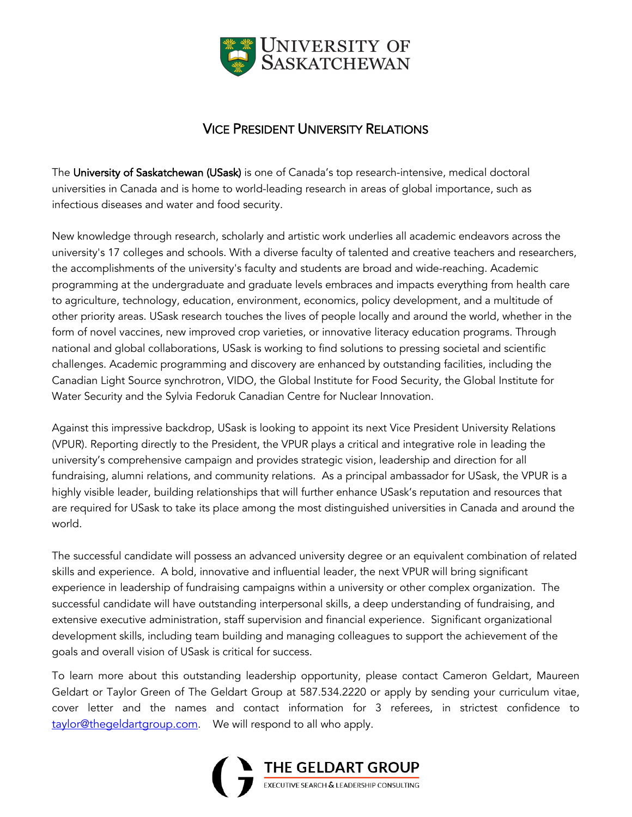

## VICE PRESIDENT UNIVERSITY RELATIONS

The University of Saskatchewan (USask) is one of Canada's top research-intensive, medical doctoral universities in Canada and is home to world-leading research in areas of global importance, such as infectious diseases and water and food security.

New knowledge through research, scholarly and artistic work underlies all academic endeavors across the university's 17 colleges and schools. With a diverse faculty of talented and creative teachers and researchers, the accomplishments of the university's faculty and students are broad and wide-reaching. Academic programming at the undergraduate and graduate levels embraces and impacts everything from health care to agriculture, technology, education, environment, economics, policy development, and a multitude of other priority areas. USask research touches the lives of people locally and around the world, whether in the form of novel vaccines, new improved crop varieties, or innovative literacy education programs. Through national and global collaborations, USask is working to find solutions to pressing societal and scientific challenges. Academic programming and discovery are enhanced by outstanding facilities, including the Canadian Light Source synchrotron, VIDO, the Global Institute for Food Security, the Global Institute for Water Security and the Sylvia Fedoruk Canadian Centre for Nuclear Innovation.

Against this impressive backdrop, USask is looking to appoint its next Vice President University Relations (VPUR). Reporting directly to the President, the VPUR plays a critical and integrative role in leading the university's comprehensive campaign and provides strategic vision, leadership and direction for all fundraising, alumni relations, and community relations. As a principal ambassador for USask, the VPUR is a highly visible leader, building relationships that will further enhance USask's reputation and resources that are required for USask to take its place among the most distinguished universities in Canada and around the world.

The successful candidate will possess an advanced university degree or an equivalent combination of related skills and experience. A bold, innovative and influential leader, the next VPUR will bring significant experience in leadership of fundraising campaigns within a university or other complex organization. The successful candidate will have outstanding interpersonal skills, a deep understanding of fundraising, and extensive executive administration, staff supervision and financial experience. Significant organizational development skills, including team building and managing colleagues to support the achievement of the goals and overall vision of USask is critical for success.

To learn more about this outstanding leadership opportunity, please contact Cameron Geldart, Maureen Geldart or Taylor Green of The Geldart Group at 587.534.2220 or apply by sending your curriculum vitae, cover letter and the names and contact information for 3 referees, in strictest confidence to taylor@thegeldartgroup.com. We will respond to all who apply.